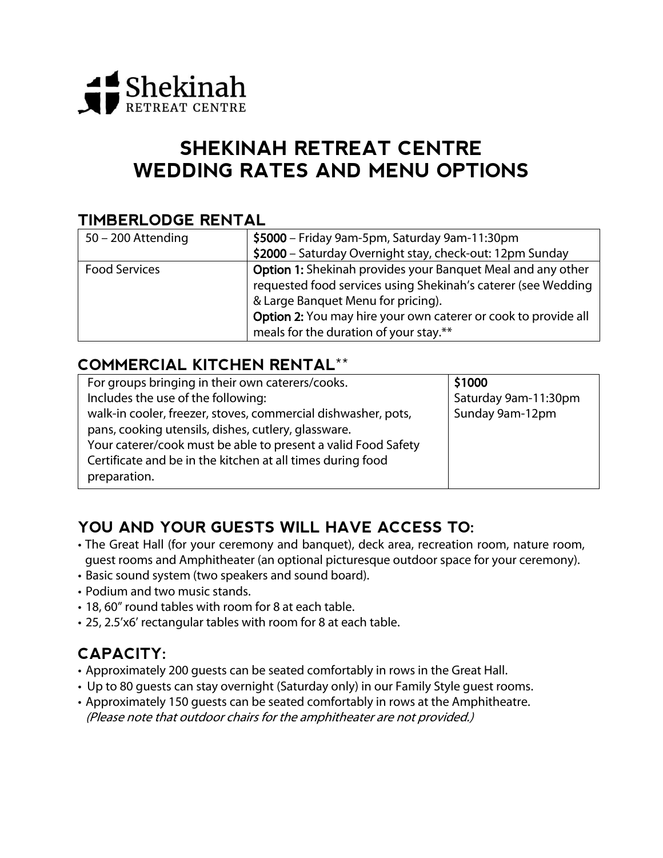

# **SHEKINAH RETREAT CENTRE WEDDING RATES AND MENU OPTIONS**

### **TIMBERLODGE RENTAL**

| $50 - 200$ Attending | \$5000 - Friday 9am-5pm, Saturday 9am-11:30pm                                                                                                                                                                                                                                         |
|----------------------|---------------------------------------------------------------------------------------------------------------------------------------------------------------------------------------------------------------------------------------------------------------------------------------|
|                      | \$2000 - Saturday Overnight stay, check-out: 12pm Sunday                                                                                                                                                                                                                              |
| <b>Food Services</b> | <b>Option 1:</b> Shekinah provides your Banquet Meal and any other<br>requested food services using Shekinah's caterer (see Wedding<br>& Large Banquet Menu for pricing).<br>Option 2: You may hire your own caterer or cook to provide all<br>meals for the duration of your stay.** |

### **COMMERCIAL KITCHEN RENTAL\*\***

| For groups bringing in their own caterers/cooks.              | \$1000               |
|---------------------------------------------------------------|----------------------|
| Includes the use of the following:                            | Saturday 9am-11:30pm |
| walk-in cooler, freezer, stoves, commercial dishwasher, pots, | Sunday 9am-12pm      |
| pans, cooking utensils, dishes, cutlery, glassware.           |                      |
| Your caterer/cook must be able to present a valid Food Safety |                      |
| Certificate and be in the kitchen at all times during food    |                      |
| preparation.                                                  |                      |

### **YOU AND YOUR GUESTS WILL HAVE ACCESS TO:**

- The Great Hall (for your ceremony and banquet), deck area, recreation room, nature room, guest rooms and Amphitheater (an optional picturesque outdoor space for your ceremony).
- Basic sound system (two speakers and sound board).
- Podium and two music stands.
- 18, 60" round tables with room for 8 at each table.
- 25, 2.5'x6' rectangular tables with room for 8 at each table.

## **CAPACITY:**

- Approximately 200 guests can be seated comfortably in rows in the Great Hall.
- Up to 80 guests can stay overnight (Saturday only) in our Family Style guest rooms.
- Approximately 150 guests can be seated comfortably in rows at the Amphitheatre. (Please note that outdoor chairs for the amphitheater are not provided.)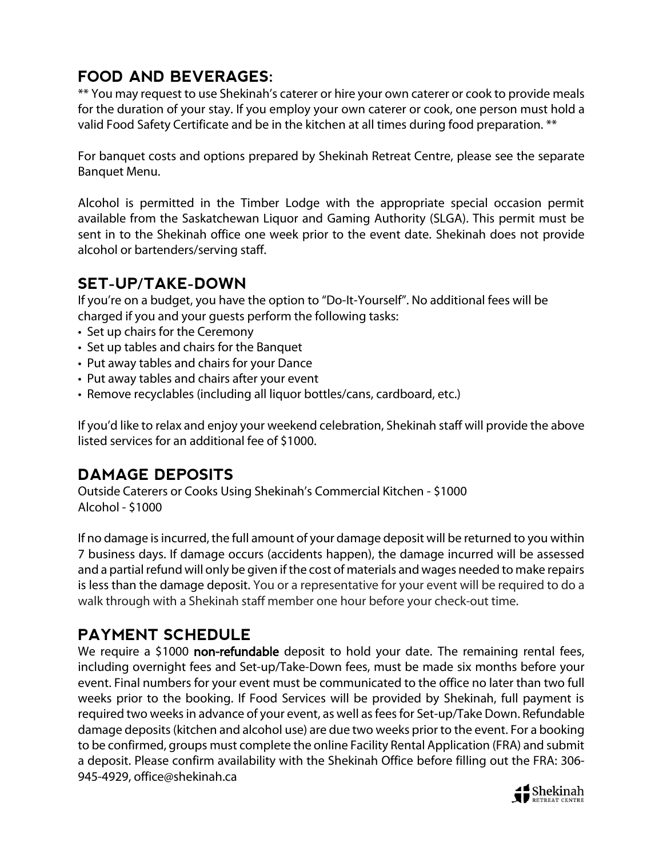# **FOOD AND BEVERAGES:**

\*\* You may request to use Shekinah's caterer or hire your own caterer or cook to provide meals for the duration of your stay. If you employ your own caterer or cook, one person must hold a valid Food Safety Certificate and be in the kitchen at all times during food preparation. \*\*

For banquet costs and options prepared by Shekinah Retreat Centre, please see the separate Banquet Menu.

Alcohol is permitted in the Timber Lodge with the appropriate special occasion permit available from the Saskatchewan Liquor and Gaming Authority (SLGA). This permit must be sent in to the Shekinah office one week prior to the event date. Shekinah does not provide alcohol or bartenders/serving staff.

### **SET-UP/TAKE-DOWN**

If you're on a budget, you have the option to "Do-It-Yourself". No additional fees will be charged if you and your guests perform the following tasks:

- Set up chairs for the Ceremony
- Set up tables and chairs for the Banquet
- Put away tables and chairs for your Dance
- Put away tables and chairs after your event
- Remove recyclables (including all liquor bottles/cans, cardboard, etc.)

If you'd like to relax and enjoy your weekend celebration, Shekinah staff will provide the above listed services for an additional fee of \$1000.

### **DAMAGE DEPOSITS**

Outside Caterers or Cooks Using Shekinah's Commercial Kitchen - \$1000 Alcohol - \$1000

If no damage is incurred, the full amount of your damage deposit will be returned to you within 7 business days. If damage occurs (accidents happen), the damage incurred will be assessed and a partial refund will only be given if the cost of materials and wages needed to make repairs is less than the damage deposit. You or a representative for your event will be required to do a walk through with a Shekinah staff member one hour before your check-out time.

### **PAYMENT SCHEDULE**

We require a \$1000 non-refundable deposit to hold your date. The remaining rental fees, including overnight fees and Set-up/Take-Down fees, must be made six months before your event. Final numbers for your event must be communicated to the office no later than two full weeks prior to the booking. If Food Services will be provided by Shekinah, full payment is required two weeks in advance of your event, as well as fees for Set-up/Take Down. Refundable damage deposits (kitchen and alcohol use) are due two weeks prior to the event. For a booking to be confirmed, groups must complete the online Facility Rental Application (FRA) and submit a deposit. Please confirm availability with the Shekinah Office before filling out the FRA: 306- 945-4929, [office@shekinah.ca](mailto:office@shekinah.ca)

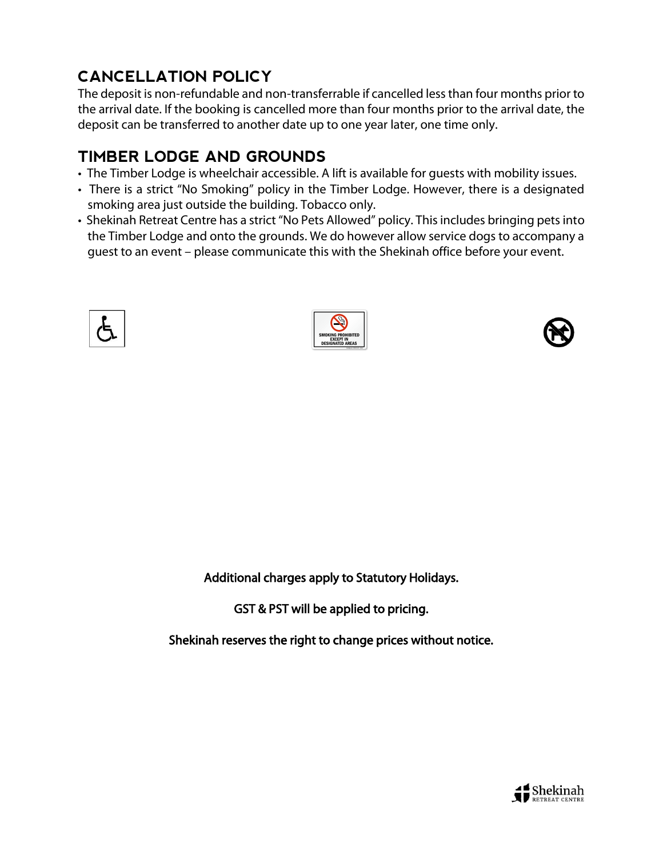# **CANCELLATION POLICY**

The deposit is non-refundable and non-transferrable if cancelled less than four months prior to the arrival date. If the booking is cancelled more than four months prior to the arrival date, the deposit can be transferred to another date up to one year later, one time only.

## **TIMBER LODGE AND GROUNDS**

- The Timber Lodge is wheelchair accessible. A lift is available for guests with mobility issues.
- There is a strict "No Smoking" policy in the Timber Lodge. However, there is a designated smoking area just outside the building. Tobacco only.
- Shekinah Retreat Centre has a strict "No Pets Allowed" policy. This includes bringing pets into the Timber Lodge and onto the grounds. We do however allow service dogs to accompany a guest to an event – please communicate this with the Shekinah office before your event.







Additional charges apply to Statutory Holidays.

GST & PST will be applied to pricing.

Shekinah reserves the right to change prices without notice.